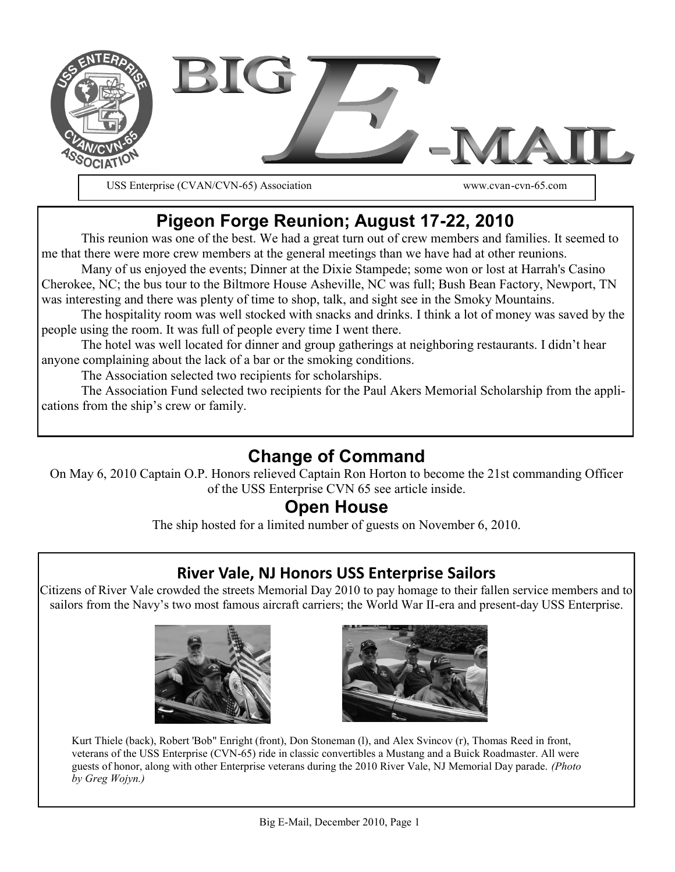

USS Enterprise (CVAN/CVN-65) Association www.cvan-cvn-65.com

# **Pigeon Forge Reunion; August 17-22, 2010**

This reunion was one of the best. We had a great turn out of crew members and families. It seemed to me that there were more crew members at the general meetings than we have had at other reunions.

Many of us enjoyed the events; Dinner at the Dixie Stampede; some won or lost at Harrah's Casino Cherokee, NC; the bus tour to the Biltmore House Asheville, NC was full; Bush Bean Factory, Newport, TN was interesting and there was plenty of time to shop, talk, and sight see in the Smoky Mountains.

The hospitality room was well stocked with snacks and drinks. I think a lot of money was saved by the people using the room. It was full of people every time I went there.

The hotel was well located for dinner and group gatherings at neighboring restaurants. I didn't hear anyone complaining about the lack of a bar or the smoking conditions.

The Association selected two recipients for scholarships.

The Association Fund selected two recipients for the Paul Akers Memorial Scholarship from the applications from the ship's crew or family.

## **Change of Command**

On May 6, 2010 Captain O.P. Honors relieved Captain Ron Horton to become the 21st commanding Officer of the USS Enterprise CVN 65 see article inside.

## **Open House**

The ship hosted for a limited number of guests on November 6, 2010.

### **River Vale, NJ Honors USS Enterprise Sailors**

Citizens of River Vale crowded the streets Memorial Day 2010 to pay homage to their fallen service members and to sailors from the Navy's two most famous aircraft carriers; the World War II-era and present-day USS Enterprise.





Kurt Thiele (back), Robert 'Bob" Enright (front), Don Stoneman (l), and Alex Svincov (r), Thomas Reed in front, veterans of the USS Enterprise (CVN-65) ride in classic convertibles a Mustang and a Buick Roadmaster. All were guests of honor, along with other Enterprise veterans during the 2010 River Vale, NJ Memorial Day parade. *(Photo by Greg Wojyn.)*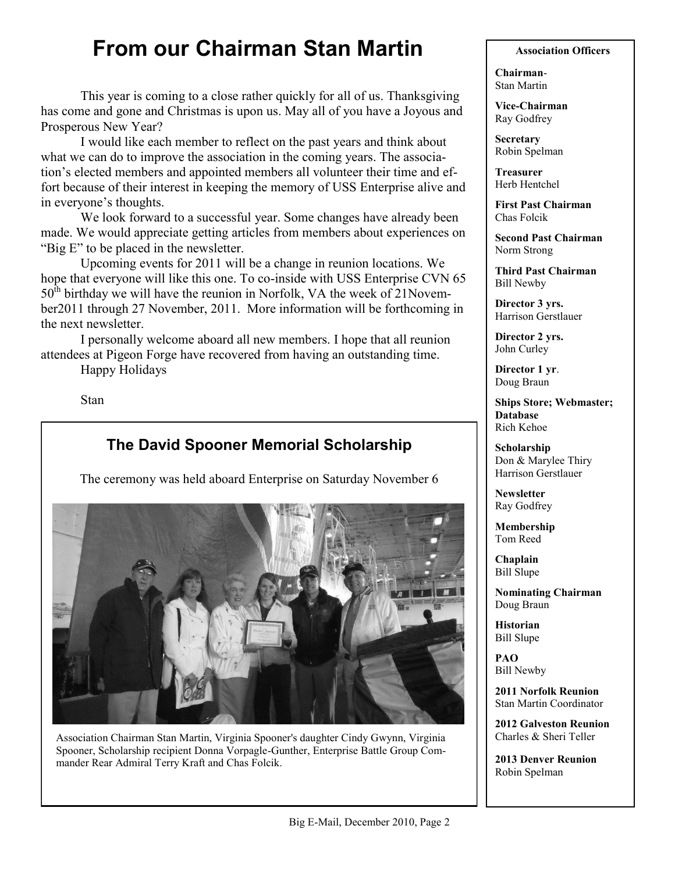# **From our Chairman Stan Martin**

This year is coming to a close rather quickly for all of us. Thanksgiving has come and gone and Christmas is upon us. May all of you have a Joyous and Prosperous New Year?

I would like each member to reflect on the past years and think about what we can do to improve the association in the coming years. The association's elected members and appointed members all volunteer their time and effort because of their interest in keeping the memory of USS Enterprise alive and in everyone's thoughts.

We look forward to a successful year. Some changes have already been made. We would appreciate getting articles from members about experiences on "Big  $E$ " to be placed in the newsletter.

Upcoming events for 2011 will be a change in reunion locations. We hope that everyone will like this one. To co-inside with USS Enterprise CVN 65  $50<sup>th</sup>$  birthday we will have the reunion in Norfolk, VA the week of 21November2011 through 27 November, 2011. More information will be forthcoming in the next newsletter.

I personally welcome aboard all new members. I hope that all reunion attendees at Pigeon Forge have recovered from having an outstanding time.

Happy Holidays

Stan

### **The David Spooner Memorial Scholarship**

The ceremony was held aboard Enterprise on Saturday November 6



Association Chairman Stan Martin, Virginia Spooner's daughter Cindy Gwynn, Virginia Spooner, Scholarship recipient Donna Vorpagle-Gunther, Enterprise Battle Group Commander Rear Admiral Terry Kraft and Chas Folcik.

#### **Association Officers**

**Chairman**-Stan Martin

**Vice-Chairman** Ray Godfrey

**Secretary** Robin Spelman

**Treasurer** Herb Hentchel

**First Past Chairman** Chas Folcik

**Second Past Chairman** Norm Strong

**Third Past Chairman** Bill Newby

**Director 3 yrs.** Harrison Gerstlauer

**Director 2 yrs.** John Curley

**Director 1 yr**. Doug Braun

**Ships Store; Webmaster; Database** Rich Kehoe

**Scholarship** Don & Marylee Thiry Harrison Gerstlauer

**Newsletter** Ray Godfrey

**Membership** Tom Reed

**Chaplain** Bill Slupe

**Nominating Chairman** Doug Braun

**Historian** Bill Slupe

**PAO** Bill Newby

**2011 Norfolk Reunion** Stan Martin Coordinator

**2012 Galveston Reunion** Charles & Sheri Teller

**2013 Denver Reunion** Robin Spelman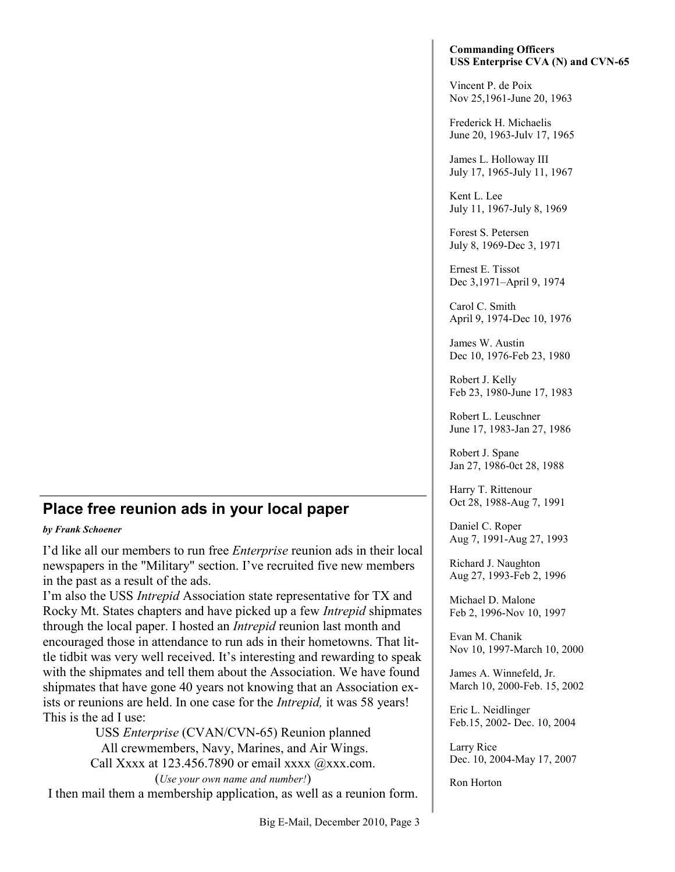### **Place free reunion ads in your local paper**

#### *by Frank Schoener*

I'd like all our members to run free *Enterprise* reunion ads in their local newspapers in the "Military" section. I've recruited five new members in the past as a result of the ads.

I'm also the USS *Intrepid* Association state representative for TX and Rocky Mt. States chapters and have picked up a few *Intrepid* shipmates through the local paper. I hosted an *Intrepid* reunion last month and encouraged those in attendance to run ads in their hometowns. That little tidbit was very well received. It's interesting and rewarding to speak with the shipmates and tell them about the Association. We have found shipmates that have gone 40 years not knowing that an Association exists or reunions are held. In one case for the *Intrepid,* it was 58 years! This is the ad I use:

USS *Enterprise* (CVAN/CVN-65) Reunion planned All crewmembers, Navy, Marines, and Air Wings. Call Xxxx at  $123.456.7890$  or email xxxx  $@xxx.com$ . (*Use your own name and number!*)

I then mail them a membership application, as well as a reunion form.

#### **Commanding Officers USS Enterprise CVA (N) and CVN-65**

Vincent P. de Poix Nov 25,1961-June 20, 1963

Frederick H. Michaelis June 20, 1963-Julv 17, 1965

James L. Holloway III July 17, 1965-July 11, 1967

Kent L. Lee July 11, 1967-July 8, 1969

Forest S. Petersen July 8, 1969-Dec 3, 1971

Ernest E. Tissot Dec 3,1971–April 9, 1974

Carol C. Smith April 9, 1974-Dec 10, 1976

James W. Austin Dec 10, 1976-Feb 23, 1980

Robert J. Kelly Feb 23, 1980-June 17, 1983

Robert L. Leuschner June 17, 1983-Jan 27, 1986

Robert J. Spane Jan 27, 1986-0ct 28, 1988

Harry T. Rittenour Oct 28, 1988-Aug 7, 1991

Daniel C. Roper Aug 7, 1991-Aug 27, 1993

Richard J. Naughton Aug 27, 1993-Feb 2, 1996

Michael D. Malone Feb 2, 1996-Nov 10, 1997

Evan M. Chanik Nov 10, 1997-March 10, 2000

James A. Winnefeld, Jr. March 10, 2000-Feb. 15, 2002

Eric L. Neidlinger Feb.15, 2002- Dec. 10, 2004

Larry Rice Dec. 10, 2004-May 17, 2007

Ron Horton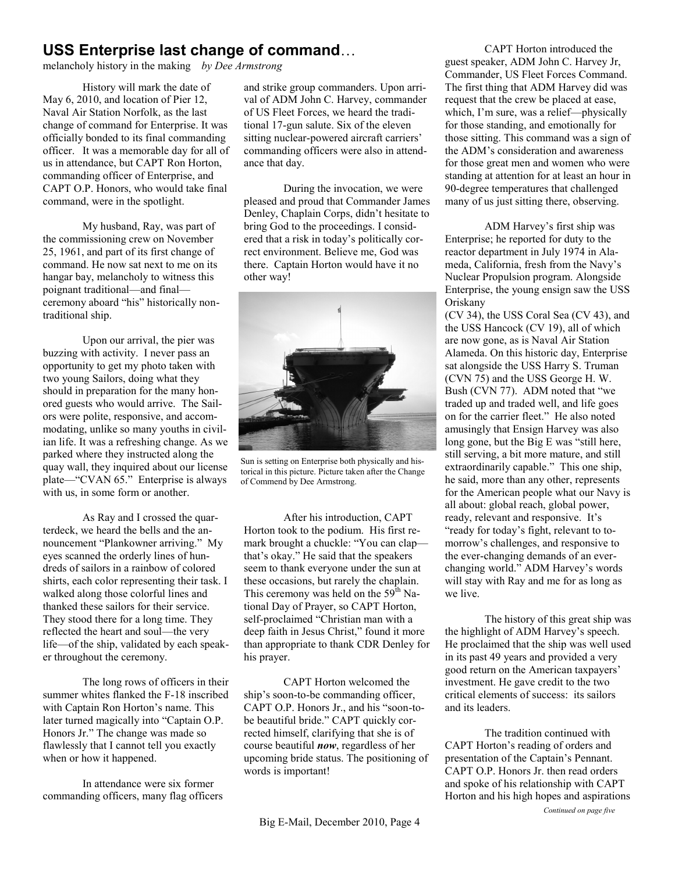### **USS Enterprise last change of command**…

melancholy history in the making *by Dee Armstrong*

History will mark the date of May 6, 2010, and location of Pier 12, Naval Air Station Norfolk, as the last change of command for Enterprise. It was officially bonded to its final commanding officer. It was a memorable day for all of us in attendance, but CAPT Ron Horton, commanding officer of Enterprise, and CAPT O.P. Honors, who would take final command, were in the spotlight.

My husband, Ray, was part of the commissioning crew on November 25, 1961, and part of its first change of command. He now sat next to me on its hangar bay, melancholy to witness this poignant traditional—and final ceremony aboard "his" historically nontraditional ship.

Upon our arrival, the pier was buzzing with activity. I never pass an opportunity to get my photo taken with two young Sailors, doing what they should in preparation for the many honored guests who would arrive. The Sailors were polite, responsive, and accommodating, unlike so many youths in civilian life. It was a refreshing change. As we parked where they instructed along the quay wall, they inquired about our license plate—"CVAN 65." Enterprise is always with us, in some form or another.

As Ray and I crossed the quarterdeck, we heard the bells and the announcement "Plankowner arriving." My eyes scanned the orderly lines of hundreds of sailors in a rainbow of colored shirts, each color representing their task. I walked along those colorful lines and thanked these sailors for their service. They stood there for a long time. They reflected the heart and soul—the very life—of the ship, validated by each speaker throughout the ceremony.

The long rows of officers in their summer whites flanked the F-18 inscribed with Captain Ron Horton's name. This later turned magically into "Captain O.P. Honors Jr." The change was made so flawlessly that I cannot tell you exactly when or how it happened.

In attendance were six former commanding officers, many flag officers and strike group commanders. Upon arrival of ADM John C. Harvey, commander of US Fleet Forces, we heard the traditional 17-gun salute. Six of the eleven sitting nuclear-powered aircraft carriers' commanding officers were also in attendance that day.

During the invocation, we were pleased and proud that Commander James Denley, Chaplain Corps, didn't hesitate to bring God to the proceedings. I considered that a risk in today's politically correct environment. Believe me, God was there. Captain Horton would have it no other way!



Sun is setting on Enterprise both physically and historical in this picture. Picture taken after the Change of Commend by Dee Armstrong.

After his introduction, CAPT Horton took to the podium. His first remark brought a chuckle: "You can clap that's okay." He said that the speakers seem to thank everyone under the sun at these occasions, but rarely the chaplain. This ceremony was held on the  $59<sup>th</sup>$  National Day of Prayer, so CAPT Horton, self-proclaimed "Christian man with a deep faith in Jesus Christ," found it more than appropriate to thank CDR Denley for his prayer.

CAPT Horton welcomed the ship's soon-to-be commanding officer, CAPT O.P. Honors Jr., and his "soon-tobe beautiful bride." CAPT quickly corrected himself, clarifying that she is of course beautiful *now*, regardless of her upcoming bride status. The positioning of words is important!

CAPT Horton introduced the guest speaker, ADM John C. Harvey Jr, Commander, US Fleet Forces Command. The first thing that ADM Harvey did was request that the crew be placed at ease, which, I'm sure, was a relief—physically for those standing, and emotionally for those sitting. This command was a sign of the ADM's consideration and awareness for those great men and women who were standing at attention for at least an hour in 90-degree temperatures that challenged many of us just sitting there, observing.

ADM Harvey's first ship was Enterprise; he reported for duty to the reactor department in July 1974 in Alameda, California, fresh from the Navy's Nuclear Propulsion program. Alongside Enterprise, the young ensign saw the USS Oriskany

(CV 34), the USS Coral Sea (CV 43), and the USS Hancock (CV 19), all of which are now gone, as is Naval Air Station Alameda. On this historic day, Enterprise sat alongside the USS Harry S. Truman (CVN 75) and the USS George H. W. Bush (CVN 77). ADM noted that "we traded up and traded well, and life goes on for the carrier fleet." He also noted amusingly that Ensign Harvey was also long gone, but the  $Big E$  was "still here, still serving, a bit more mature, and still extraordinarily capable." This one ship, he said, more than any other, represents for the American people what our Navy is all about: global reach, global power, ready, relevant and responsive. It's "ready for today's fight, relevant to tomorrow's challenges, and responsive to the ever-changing demands of an everchanging world." ADM Harvey's words will stay with Ray and me for as long as we live.

The history of this great ship was the highlight of ADM Harvey's speech. He proclaimed that the ship was well used in its past 49 years and provided a very good return on the American taxpayers' investment. He gave credit to the two critical elements of success: its sailors and its leaders.

The tradition continued with CAPT Horton's reading of orders and presentation of the Captain's Pennant. CAPT O.P. Honors Jr. then read orders and spoke of his relationship with CAPT Horton and his high hopes and aspirations *Continued on page five*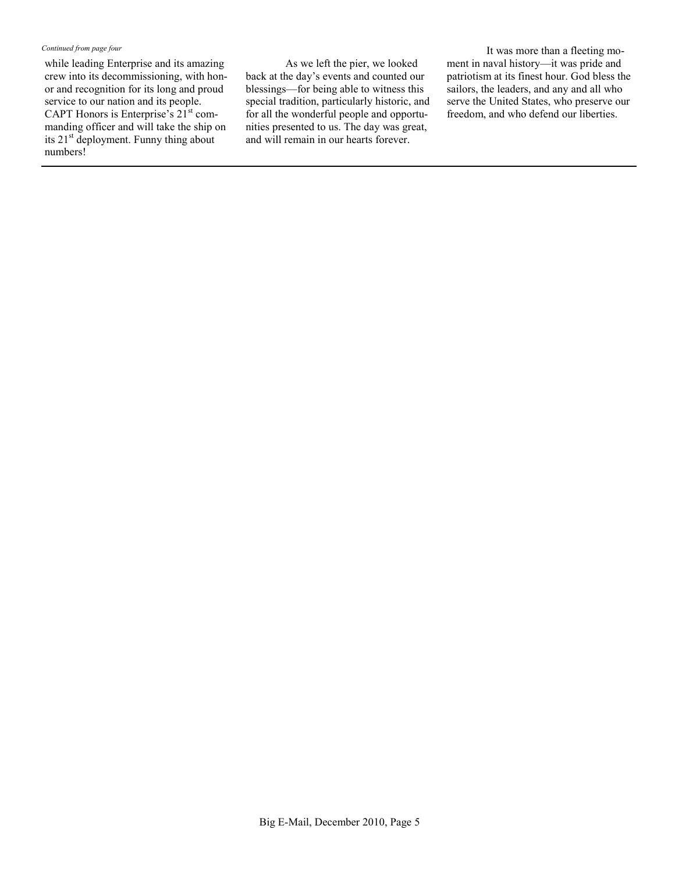#### *Continued from page four*

while leading Enterprise and its amazing crew into its decommissioning, with honor and recognition for its long and proud service to our nation and its people. CAPT Honors is Enterprise's 21<sup>st</sup> commanding officer and will take the ship on its 21<sup>st</sup> deployment. Funny thing about numbers!

As we left the pier, we looked back at the day's events and counted our blessings—for being able to witness this special tradition, particularly historic, and for all the wonderful people and opportunities presented to us. The day was great, and will remain in our hearts forever.

It was more than a fleeting moment in naval history—it was pride and patriotism at its finest hour. God bless the sailors, the leaders, and any and all who serve the United States, who preserve our freedom, and who defend our liberties.